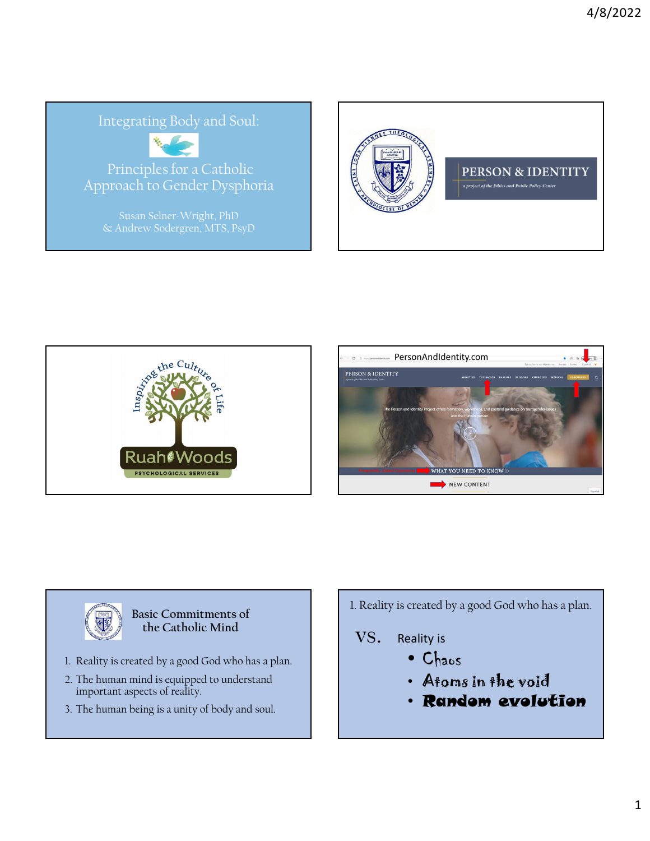## Integrating Body and Soul:



Principles for a Catholic Approach to Gender Dysphoria









#### **Basic Commitments of the Catholic Mind**

- 1. Reality is created by a good God who has a plan.
- 2. The human mind is equipped to understand important aspects of reality.
- 3. The human being is a unity of body and soul.

1. Reality is created by a good God who has a plan.

# VS. Reality is

- Chaos
- Atoms in the void
- Random evolution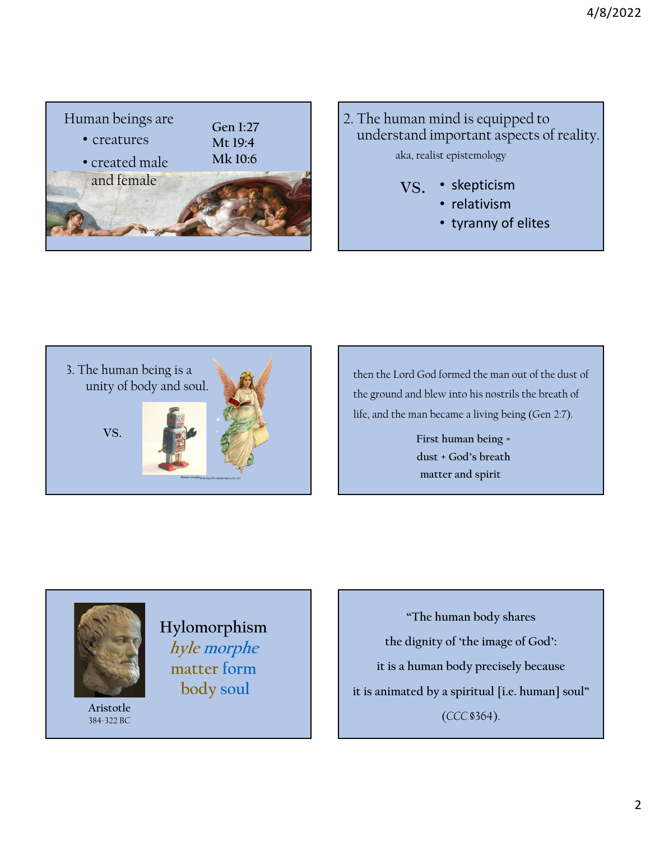

## 2. The human mind is equipped to understand important aspects of reality. aka, realist epistemology

- skepticism vs.
	- relativism
	- tyranny of elites



then the Lord God formed the man out of the dust of the ground and blew into his nostrils the breath of life, and the man became a living being (Gen 2:7).

> **First human being = dust + God's breath matter and spirit**



**Hylomorphism hyle morphe matter form body soul**

**Aristotle** 384-322 BC

**"The human body shares the dignity of 'the image of God': it is a human body precisely because it is animated by a spiritual [i.e. human] soul"**  (*CCC* §364).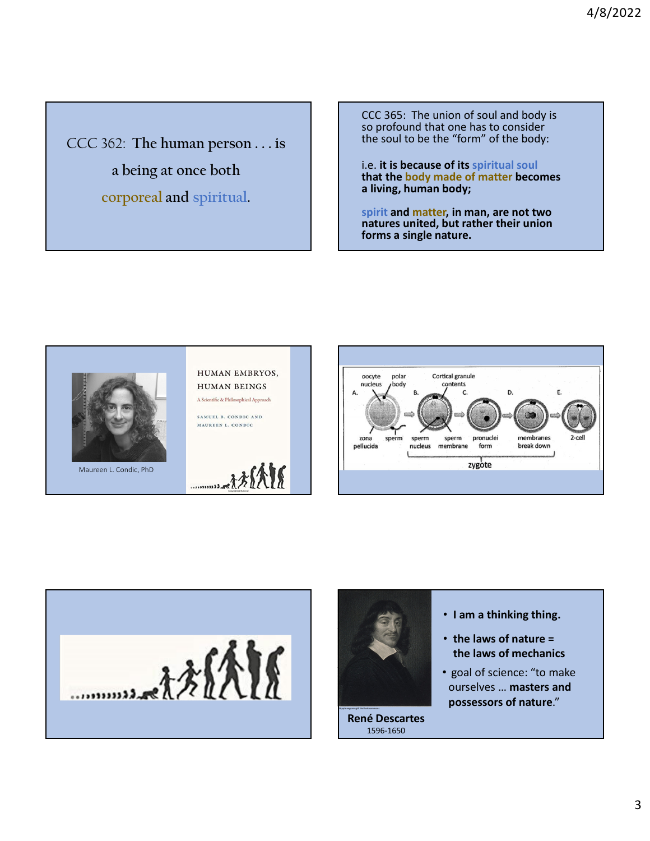CCC 362: **The human person . . . is a being at once both corporeal and spiritual.**

CCC 365: The union of soul and body is so profound that one has to consider the soul to be the "form" of the body:

i.e. **it is because of its spiritual soul that the body made of matter becomes a living, human body;** 

**spirit and matter, in man, are not two natures united, but rather their union forms a single nature.**







**René Descartes**  1596-1650

- **I am a thinking thing.**
- **the laws of nature = the laws of mechanics**
- goal of science: "to make ourselves … **masters and**  possessors of nature."